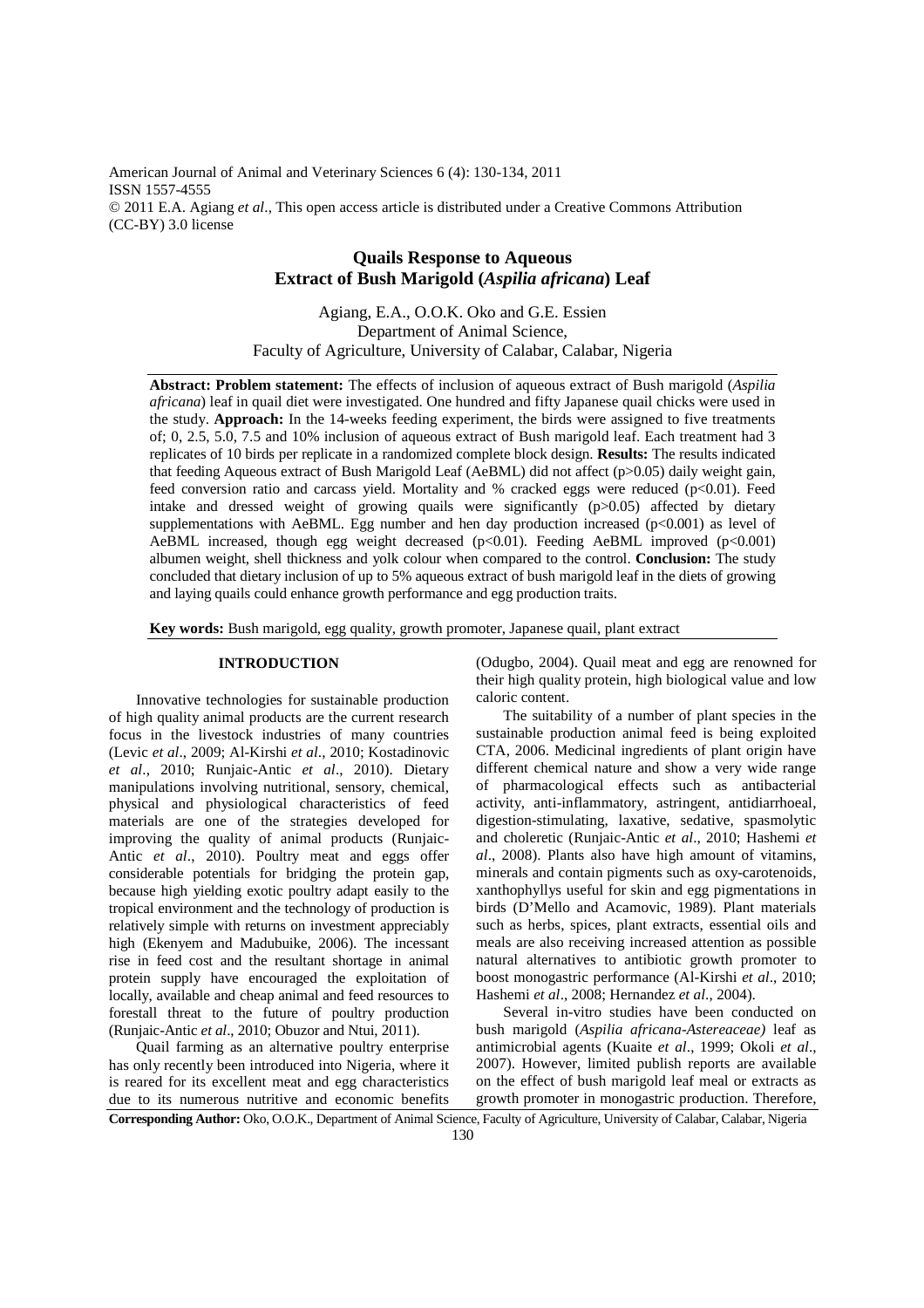American Journal of Animal and Veterinary Sciences 6 (4): 130-134, 2011 ISSN 1557-4555 © 2011 E.A. Agiang *et al*., This open access article is distributed under a Creative Commons Attribution (CC-BY) 3.0 license

# **Quails Response to Aqueous Extract of Bush Marigold (***Aspilia africana***) Leaf**

Agiang, E.A., O.O.K. Oko and G.E. Essien Department of Animal Science, Faculty of Agriculture, University of Calabar, Calabar, Nigeria

**Abstract: Problem statement:** The effects of inclusion of aqueous extract of Bush marigold (*Aspilia africana*) leaf in quail diet were investigated. One hundred and fifty Japanese quail chicks were used in the study. **Approach:** In the 14-weeks feeding experiment, the birds were assigned to five treatments of; 0, 2.5, 5.0, 7.5 and 10% inclusion of aqueous extract of Bush marigold leaf. Each treatment had 3 replicates of 10 birds per replicate in a randomized complete block design. **Results:** The results indicated that feeding Aqueous extract of Bush Marigold Leaf (AeBML) did not affect (p>0.05) daily weight gain, feed conversion ratio and carcass yield. Mortality and % cracked eggs were reduced (p<0.01). Feed intake and dressed weight of growing quails were significantly (p>0.05) affected by dietary supplementations with AeBML. Egg number and hen day production increased  $(p<0.001)$  as level of AeBML increased, though egg weight decreased  $(p<0.01)$ . Feeding AeBML improved  $(p<0.001)$ albumen weight, shell thickness and yolk colour when compared to the control. **Conclusion:** The study concluded that dietary inclusion of up to 5% aqueous extract of bush marigold leaf in the diets of growing and laying quails could enhance growth performance and egg production traits.

**Key words:** Bush marigold, egg quality, growth promoter, Japanese quail, plant extract

## **INTRODUCTION**

 Innovative technologies for sustainable production of high quality animal products are the current research focus in the livestock industries of many countries (Levic *et al*., 2009; Al-Kirshi *et al*., 2010; Kostadinovic *et al*., 2010; Runjaic-Antic *et al*., 2010). Dietary manipulations involving nutritional, sensory, chemical, physical and physiological characteristics of feed materials are one of the strategies developed for improving the quality of animal products (Runjaic-Antic *et al*., 2010). Poultry meat and eggs offer considerable potentials for bridging the protein gap, because high yielding exotic poultry adapt easily to the tropical environment and the technology of production is relatively simple with returns on investment appreciably high (Ekenyem and Madubuike, 2006). The incessant rise in feed cost and the resultant shortage in animal protein supply have encouraged the exploitation of locally, available and cheap animal and feed resources to forestall threat to the future of poultry production (Runjaic-Antic *et al*., 2010; Obuzor and Ntui, 2011).

 Quail farming as an alternative poultry enterprise has only recently been introduced into Nigeria, where it is reared for its excellent meat and egg characteristics due to its numerous nutritive and economic benefits

(Odugbo, 2004). Quail meat and egg are renowned for their high quality protein, high biological value and low caloric content.

 The suitability of a number of plant species in the sustainable production animal feed is being exploited CTA, 2006. Medicinal ingredients of plant origin have different chemical nature and show a very wide range of pharmacological effects such as antibacterial activity, anti-inflammatory, astringent, antidiarrhoeal, digestion-stimulating, laxative, sedative, spasmolytic and choleretic (Runjaic-Antic *et al*., 2010; Hashemi *et al*., 2008). Plants also have high amount of vitamins, minerals and contain pigments such as oxy-carotenoids, xanthophyllys useful for skin and egg pigmentations in birds (D'Mello and Acamovic, 1989). Plant materials such as herbs, spices, plant extracts, essential oils and meals are also receiving increased attention as possible natural alternatives to antibiotic growth promoter to boost monogastric performance (Al-Kirshi *et al*., 2010; Hashemi *et al*., 2008; Hernandez *et al*., 2004).

 Several in-vitro studies have been conducted on bush marigold (*Aspilia africana*-*Astereaceae)* leaf as antimicrobial agents (Kuaite *et al*., 1999; Okoli *et al*., 2007). However, limited publish reports are available on the effect of bush marigold leaf meal or extracts as growth promoter in monogastric production. Therefore,

**Corresponding Author:** Oko, O.O.K., Department of Animal Science, Faculty of Agriculture, University of Calabar, Calabar, Nigeria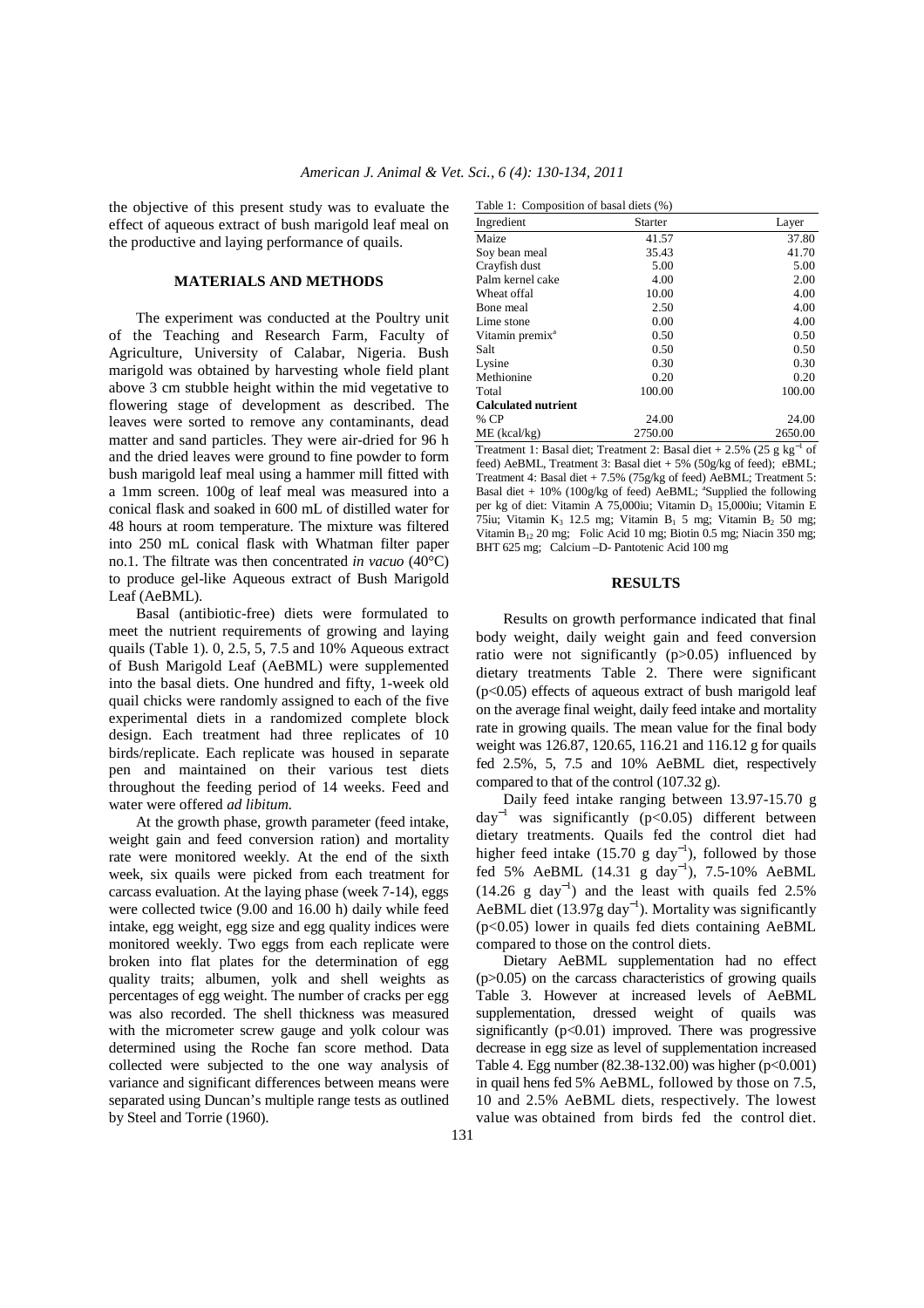the objective of this present study was to evaluate the effect of aqueous extract of bush marigold leaf meal on the productive and laying performance of quails.

### **MATERIALS AND METHODS**

 The experiment was conducted at the Poultry unit of the Teaching and Research Farm, Faculty of Agriculture, University of Calabar, Nigeria. Bush marigold was obtained by harvesting whole field plant above 3 cm stubble height within the mid vegetative to flowering stage of development as described. The leaves were sorted to remove any contaminants, dead matter and sand particles. They were air-dried for 96 h and the dried leaves were ground to fine powder to form bush marigold leaf meal using a hammer mill fitted with a 1mm screen. 100g of leaf meal was measured into a conical flask and soaked in 600 mL of distilled water for 48 hours at room temperature. The mixture was filtered into 250 mL conical flask with Whatman filter paper no.1. The filtrate was then concentrated *in vacuo* (40°C) to produce gel-like Aqueous extract of Bush Marigold Leaf (AeBML).

 Basal (antibiotic-free) diets were formulated to meet the nutrient requirements of growing and laying quails (Table 1). 0, 2.5, 5, 7.5 and 10% Aqueous extract of Bush Marigold Leaf (AeBML) were supplemented into the basal diets. One hundred and fifty, 1-week old quail chicks were randomly assigned to each of the five experimental diets in a randomized complete block design. Each treatment had three replicates of 10 birds/replicate. Each replicate was housed in separate pen and maintained on their various test diets throughout the feeding period of 14 weeks. Feed and water were offered *ad libitum.*

 At the growth phase, growth parameter (feed intake, weight gain and feed conversion ration) and mortality rate were monitored weekly. At the end of the sixth week, six quails were picked from each treatment for carcass evaluation. At the laying phase (week 7-14), eggs were collected twice (9.00 and 16.00 h) daily while feed intake, egg weight, egg size and egg quality indices were monitored weekly. Two eggs from each replicate were broken into flat plates for the determination of egg quality traits; albumen, yolk and shell weights as percentages of egg weight. The number of cracks per egg was also recorded. The shell thickness was measured with the micrometer screw gauge and yolk colour was determined using the Roche fan score method. Data collected were subjected to the one way analysis of variance and significant differences between means were separated using Duncan's multiple range tests as outlined by Steel and Torrie (1960).

| Table 1: Composition of basal diets (%) |                |         |  |  |
|-----------------------------------------|----------------|---------|--|--|
| Ingredient                              | <b>Starter</b> | Layer   |  |  |
| Maize                                   | 41.57          | 37.80   |  |  |
| Soy bean meal                           | 35.43          | 41.70   |  |  |
| Crayfish dust                           | 5.00           | 5.00    |  |  |
| Palm kernel cake                        | 4.00           | 2.00    |  |  |
| Wheat offal                             | 10.00          | 4.00    |  |  |
| Bone meal                               | 2.50           | 4.00    |  |  |
| Lime stone                              | 0.00           | 4.00    |  |  |
| Vitamin premix <sup>a</sup>             | 0.50           | 0.50    |  |  |
| Salt                                    | 0.50           | 0.50    |  |  |
| Lysine                                  | 0.30           | 0.30    |  |  |
| Methionine                              | 0.20           | 0.20    |  |  |
| Total                                   | 100.00         | 100.00  |  |  |
| <b>Calculated nutrient</b>              |                |         |  |  |
| % CP                                    | 24.00          | 24.00   |  |  |
| ME (kcal/kg)                            | 2750.00        | 2650.00 |  |  |

Treatment 1: Basal diet; Treatment 2: Basal diet + 2.5% (25 g kg<sup>-1</sup> of feed) AeBML, Treatment 3: Basal diet + 5% (50g/kg of feed); eBML; Treatment 4: Basal diet + 7.5% (75g/kg of feed) AeBML; Treatment 5: Basal diet +  $10\%$  ( $100g/kg$  of feed) AeBML; <sup>a</sup>Supplied the following per kg of diet: Vitamin A 75,000iu; Vitamin D<sub>3</sub> 15,000iu; Vitamin E 75iu; Vitamin K<sub>3</sub> 12.5 mg; Vitamin B<sub>1</sub> 5 mg; Vitamin B<sub>2</sub> 50 mg; Vitamin B12 20 mg; Folic Acid 10 mg; Biotin 0.5 mg; Niacin 350 mg; BHT 625 mg; Calcium –D- Pantotenic Acid 100 mg

#### **RESULTS**

 Results on growth performance indicated that final body weight, daily weight gain and feed conversion ratio were not significantly (p>0.05) influenced by dietary treatments Table 2. There were significant  $(p<0.05)$  effects of aqueous extract of bush marigold leaf on the average final weight, daily feed intake and mortality rate in growing quails. The mean value for the final body weight was 126.87, 120.65, 116.21 and 116.12 g for quails fed 2.5%, 5, 7.5 and 10% AeBML diet, respectively compared to that of the control (107.32 g).

 Daily feed intake ranging between 13.97-15.70 g  $day^{-1}$  was significantly (p<0.05) different between dietary treatments. Quails fed the control diet had higher feed intake  $(15.70 \text{ g day}^{-1})$ , followed by those fed 5% AeBML (14.31 g day<sup>-1</sup>), 7.5-10% AeBML  $(14.26 \text{ g day}^{-1})$  and the least with quails fed 2.5% AeBML diet  $(13.97g \text{ day}^{-1})$ . Mortality was significantly (p<0.05) lower in quails fed diets containing AeBML compared to those on the control diets.

 Dietary AeBML supplementation had no effect  $(p>0.05)$  on the carcass characteristics of growing quails Table 3. However at increased levels of AeBML supplementation, dressed weight of quails was significantly  $(p<0.01)$  improved. There was progressive decrease in egg size as level of supplementation increased Table 4. Egg number (82.38-132.00) was higher (p<0.001) in quail hens fed 5% AeBML, followed by those on 7.5, 10 and 2.5% AeBML diets, respectively. The lowest value was obtained from birds fed the control diet.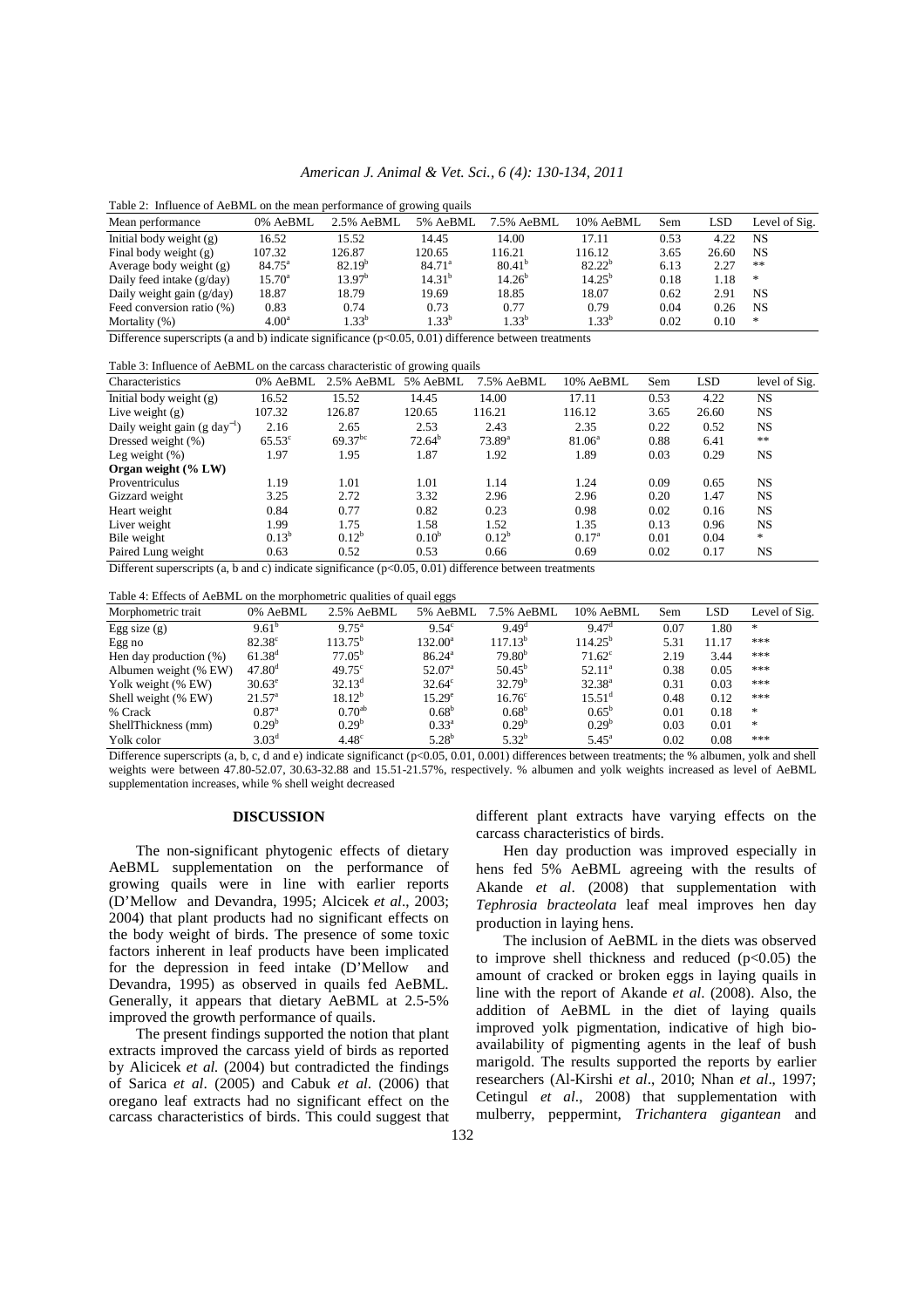#### *American J. Animal & Vet. Sci., 6 (4): 130-134, 2011*

| Table 2: Influence of AeBML on the mean performance of growing quails                                                                                                                                                                                                                          |                   |                    |                    |                    |             |      |       |               |
|------------------------------------------------------------------------------------------------------------------------------------------------------------------------------------------------------------------------------------------------------------------------------------------------|-------------------|--------------------|--------------------|--------------------|-------------|------|-------|---------------|
| Mean performance                                                                                                                                                                                                                                                                               | 0% AeBML          | 2.5% AeBML         | 5% AeBML           | 7.5% AeBML         | 10% AeBML   | Sem  | LSD   | Level of Sig. |
| Initial body weight $(g)$                                                                                                                                                                                                                                                                      | 16.52             | 15.52              | 14.45              | 14.00              | 17.11       | 0.53 | 4.22  | <b>NS</b>     |
| Final body weight (g)                                                                                                                                                                                                                                                                          | 107.32            | 126.87             | 120.65             | 116.21             | 116.12      | 3.65 | 26.60 | NS.           |
| Average body weight $(g)$                                                                                                                                                                                                                                                                      | $84.75^{\circ}$   | 82.19 <sup>b</sup> | 84.71 <sup>a</sup> | 80.41 <sup>b</sup> | $82.22^{b}$ | 6.13 | 2.27  | $**$          |
| Daily feed intake $(g/day)$                                                                                                                                                                                                                                                                    | $15.70^{\circ}$   | 13.97 <sup>b</sup> | 14.31 <sup>b</sup> | $14.26^{b}$        | $14.25^{b}$ | 0.18 | 1.18  | ∗             |
| Daily weight gain $(g/day)$                                                                                                                                                                                                                                                                    | 18.87             | 18.79              | 19.69              | 18.85              | 18.07       | 0.62 | 2.91  | NS.           |
| Feed conversion ratio (%)                                                                                                                                                                                                                                                                      | 0.83              | 0.74               | 0.73               | 0.77               | 0.79        | 0.04 | 0.26  | <b>NS</b>     |
| Mortality $(\%)$                                                                                                                                                                                                                                                                               | 4.00 <sup>a</sup> | $1.33^{b}$         | $1.33^{b}$         | $1.33^{b}$         | $1.33^{b}$  | 0.02 | 0.10  | ∗             |
| $\mathbf{D}^{100}$ and $\mathbf{D}^{100}$ and $\mathbf{D}^{100}$ and $\mathbf{D}^{100}$ and $\mathbf{D}^{100}$ and $\mathbf{D}^{100}$ and $\mathbf{D}^{100}$ and $\mathbf{D}^{100}$ and $\mathbf{D}^{100}$ and $\mathbf{D}^{100}$ and $\mathbf{D}^{100}$ and $\mathbf{D}^{100}$ and $\mathbf{$ |                   |                    |                    |                    |             |      |       |               |

Difference superscripts (a and b) indicate significance  $(p<0.05, 0.01)$  difference between treatments

Table 3: Influence of AeBML on the carcass characteristic of growing quails

| Characteristics                          | 0% AeBML        | 2.5% AeBML   | 5% AeBML                | 7.5% AeBML      | 10% AeBML         | Sem  | <b>LSD</b> | level of Sig. |
|------------------------------------------|-----------------|--------------|-------------------------|-----------------|-------------------|------|------------|---------------|
| Initial body weight $(g)$                | 16.52           | 15.52        | 14.45                   | 14.00           | 17.11             | 0.53 | 4.22       | <b>NS</b>     |
| Live weight $(g)$                        | 107.32          | 126.87       | 120.65                  | 116.21          | 116.12            | 3.65 | 26.60      | <b>NS</b>     |
| Daily weight gain $(g \text{ day}^{-1})$ | 2.16            | 2.65         | 2.53                    | 2.43            | 2.35              | 0.22 | 0.52       | <b>NS</b>     |
| Dressed weight (%)                       | $65.53^{\circ}$ | $69.37^{bc}$ | $72.64^b$               | $73.89^{\rm a}$ | $81.06^{\circ}$   | 0.88 | 6.41       | **            |
| Leg weight $(\%)$                        | 1.97            | 1.95         | 1.87                    | 1.92            | 1.89              | 0.03 | 0.29       | <b>NS</b>     |
| Organ weight (% LW)                      |                 |              |                         |                 |                   |      |            |               |
| Proventriculus                           | 1.19            | 1.01         | 1.01                    | 1.14            | 1.24              | 0.09 | 0.65       | <b>NS</b>     |
| Gizzard weight                           | 3.25            | 2.72         | 3.32                    | 2.96            | 2.96              | 0.20 | 1.47       | NS            |
| Heart weight                             | 0.84            | 0.77         | 0.82                    | 0.23            | 0.98              | 0.02 | 0.16       | <b>NS</b>     |
| Liver weight                             | 1.99            | 1.75         | 1.58                    | 1.52            | 1.35              | 0.13 | 0.96       | <b>NS</b>     |
| Bile weight                              | $0.13^{b}$      | $0.12^{b}$   | $0.10^{b}$              | $0.12^{b}$      | 0.17 <sup>a</sup> | 0.01 | 0.04       | $\star$       |
| Paired Lung weight<br>$  -$              | 0.63            | 0.52         | 0.53<br>_ _ _ _ _ _ _ _ | 0.66            | 0.69              | 0.02 | 0.17       | NS            |

Different superscripts (a, b and c) indicate significance  $(p<0.05, 0.01)$  difference between treatments

| Table 4: Effects of AeBML on the morphometric qualities of quail eggs |                    |                   |                    |                    |                    |      |            |               |
|-----------------------------------------------------------------------|--------------------|-------------------|--------------------|--------------------|--------------------|------|------------|---------------|
| Morphometric trait                                                    | 0% AeBML           | 2.5% AeBML        | 5% AeBML           | 7.5% AeBML         | 10% AeBML          | Sem  | <b>LSD</b> | Level of Sig. |
| Egg size $(g)$                                                        | $9.61^{b}$         | $9.75^{\text{a}}$ | $9.54^{\circ}$     | $9.49^d$           | 9.47 <sup>d</sup>  | 0.07 | 1.80       | *             |
| Egg no                                                                | $82.38^{\circ}$    | $113.75^b$        | $132.00^a$         | $117.13^{b}$       | $114.25^{b}$       | 5.31 | 11.17      | ***           |
| Hen day production (%)                                                | $61.38^{d}$        | $77.05^b$         | 86.24 <sup>a</sup> | $79.80^{b}$        | $71.62^{\circ}$    | 2.19 | 3.44       | ***           |
| Albumen weight (% EW)                                                 | 47.80 <sup>d</sup> | $49.75^{\circ}$   | 52.07 <sup>a</sup> | $50.45^{\rm b}$    | $52.11^a$          | 0.38 | 0.05       | ***           |
| Yolk weight (% EW)                                                    | $30.63^{\circ}$    | $32.13^d$         | $32.64^{\circ}$    | 32.79 <sup>b</sup> | $32.38^{a}$        | 0.31 | 0.03       | ***           |
| Shell weight (% EW)                                                   | $21.57^{\circ}$    | $18.12^{b}$       | $15.29^e$          | 16.76 <sup>c</sup> | 15.51 <sup>d</sup> | 0.48 | 0.12       | ***           |
| % Crack                                                               | 0.87 <sup>a</sup>  | $0.70^{ab}$       | $0.68^{\rm b}$     | 0.68 <sup>b</sup>  | $0.65^{\rm b}$     | 0.01 | 0.18       | *             |
| ShellThickness (mm)                                                   | $0.29^{b}$         | $0.29^{b}$        | $0.33^{\rm a}$     | $0.29^{b}$         | $0.29^{b}$         | 0.03 | 0.01       | *             |
| Yolk color                                                            | 3.03 <sup>d</sup>  | 4.48 <sup>c</sup> | $5.28^{b}$         | $5.32^{b}$         | $5.45^{\circ}$     | 0.02 | 0.08       | ***           |

Difference superscripts (a, b, c, d and e) indicate significanct (p<0.05, 0.01, 0.001) differences between treatments; the % albumen, yolk and shell weights were between 47.80-52.07, 30.63-32.88 and 15.51-21.57%, respectively. % albumen and yolk weights increased as level of AeBML supplementation increases, while % shell weight decreased

## **DISCUSSION**

 The non-significant phytogenic effects of dietary AeBML supplementation on the performance of growing quails were in line with earlier reports (D'Mellow and Devandra, 1995; Alcicek *et al*., 2003; 2004) that plant products had no significant effects on the body weight of birds. The presence of some toxic factors inherent in leaf products have been implicated for the depression in feed intake (D'Mellow and Devandra, 1995) as observed in quails fed AeBML. Generally, it appears that dietary AeBML at 2.5-5% improved the growth performance of quails.

 The present findings supported the notion that plant extracts improved the carcass yield of birds as reported by Alicicek *et al.* (2004) but contradicted the findings of Sarica *et al*. (2005) and Cabuk *et al*. (2006) that oregano leaf extracts had no significant effect on the carcass characteristics of birds. This could suggest that different plant extracts have varying effects on the carcass characteristics of birds.

 Hen day production was improved especially in hens fed 5% AeBML agreeing with the results of Akande *et al*. (2008) that supplementation with *Tephrosia bracteolata* leaf meal improves hen day production in laying hens.

 The inclusion of AeBML in the diets was observed to improve shell thickness and reduced  $(p<0.05)$  the amount of cracked or broken eggs in laying quails in line with the report of Akande *et al*. (2008). Also, the addition of AeBML in the diet of laying quails improved yolk pigmentation, indicative of high bioavailability of pigmenting agents in the leaf of bush marigold. The results supported the reports by earlier researchers (Al-Kirshi *et al*., 2010; Nhan *et al*., 1997; Cetingul *et al*., 2008) that supplementation with mulberry, peppermint, *Trichantera gigantean* and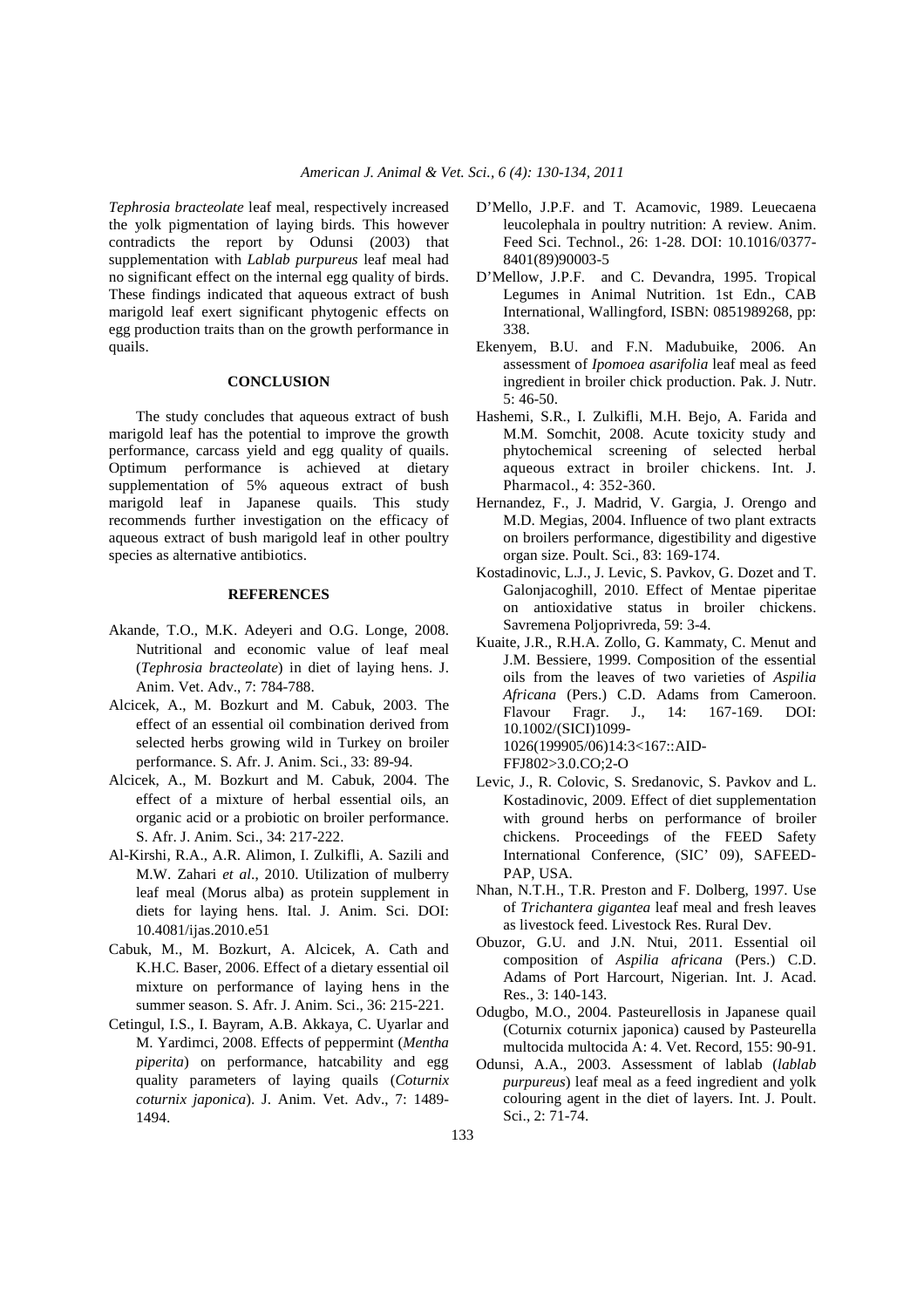*Tephrosia bracteolate* leaf meal, respectively increased the yolk pigmentation of laying birds. This however contradicts the report by Odunsi (2003) that supplementation with *Lablab purpureus* leaf meal had no significant effect on the internal egg quality of birds. These findings indicated that aqueous extract of bush marigold leaf exert significant phytogenic effects on egg production traits than on the growth performance in quails.

## **CONCLUSION**

 The study concludes that aqueous extract of bush marigold leaf has the potential to improve the growth performance, carcass yield and egg quality of quails. Optimum performance is achieved at dietary supplementation of 5% aqueous extract of bush marigold leaf in Japanese quails. This study recommends further investigation on the efficacy of aqueous extract of bush marigold leaf in other poultry species as alternative antibiotics.

## **REFERENCES**

- Akande, T.O., M.K. Adeyeri and O.G. Longe, 2008. Nutritional and economic value of leaf meal (*Tephrosia bracteolate*) in diet of laying hens. J. Anim. Vet. Adv., 7: 784-788.
- Alcicek, A., M. Bozkurt and M. Cabuk, 2003. The effect of an essential oil combination derived from selected herbs growing wild in Turkey on broiler performance. S. Afr. J. Anim. Sci., 33: 89-94.
- Alcicek, A., M. Bozkurt and M. Cabuk, 2004. The effect of a mixture of herbal essential oils, an organic acid or a probiotic on broiler performance. S. Afr. J. Anim. Sci., 34: 217-222.
- Al-Kirshi, R.A., A.R. Alimon, I. Zulkifli, A. Sazili and M.W. Zahari *et al*., 2010. Utilization of mulberry leaf meal (Morus alba) as protein supplement in diets for laying hens. Ital. J. Anim. Sci. DOI: 10.4081/ijas.2010.e51
- Cabuk, M., M. Bozkurt, A. Alcicek, A. Cath and K.H.C. Baser, 2006. Effect of a dietary essential oil mixture on performance of laying hens in the summer season. S. Afr. J. Anim. Sci., 36: 215-221.
- Cetingul, I.S., I. Bayram, A.B. Akkaya, C. Uyarlar and M. Yardimci, 2008. Effects of peppermint (*Mentha piperita*) on performance, hatcability and egg quality parameters of laying quails (*Coturnix coturnix japonica*). J. Anim. Vet. Adv., 7: 1489- 1494.
- D'Mello, J.P.F. and T. Acamovic, 1989. Leuecaena leucolephala in poultry nutrition: A review. Anim. Feed Sci. Technol., 26: 1-28. DOI: 10.1016/0377- 8401(89)90003-5
- D'Mellow, J.P.F. and C. Devandra, 1995. Tropical Legumes in Animal Nutrition. 1st Edn., CAB International, Wallingford, ISBN: 0851989268, pp: 338.
- Ekenyem, B.U. and F.N. Madubuike, 2006. An assessment of *Ipomoea asarifolia* leaf meal as feed ingredient in broiler chick production. Pak. J. Nutr. 5: 46-50.
- Hashemi, S.R., I. Zulkifli, M.H. Bejo, A. Farida and M.M. Somchit, 2008. Acute toxicity study and phytochemical screening of selected herbal aqueous extract in broiler chickens. Int. J. Pharmacol., 4: 352-360.
- Hernandez, F., J. Madrid, V. Gargia, J. Orengo and M.D. Megias, 2004. Influence of two plant extracts on broilers performance, digestibility and digestive organ size. Poult. Sci., 83: 169-174.
- Kostadinovic, L.J., J. Levic, S. Pavkov, G. Dozet and T. Galonjacoghill, 2010. Effect of Mentae piperitae on antioxidative status in broiler chickens. Savremena Poljoprivreda, 59: 3-4.
- Kuaite, J.R., R.H.A. Zollo, G. Kammaty, C. Menut and J.M. Bessiere, 1999. Composition of the essential oils from the leaves of two varieties of *Aspilia Africana* (Pers.) C.D. Adams from Cameroon. Flavour Fragr. J., 14: 167-169. DOI: 10.1002/(SICI)1099- 1026(199905/06)14:3<167::AID-FFJ802>3.0.CO;2-O
- Levic, J., R. Colovic, S. Sredanovic, S. Pavkov and L. Kostadinovic, 2009. Effect of diet supplementation with ground herbs on performance of broiler chickens. Proceedings of the FEED Safety International Conference, (SIC' 09), SAFEED-PAP, USA.
- Nhan, N.T.H., T.R. Preston and F. Dolberg, 1997. Use of *Trichantera gigantea* leaf meal and fresh leaves as livestock feed. Livestock Res. Rural Dev.
- Obuzor, G.U. and J.N. Ntui, 2011. Essential oil composition of *Aspilia africana* (Pers.) C.D. Adams of Port Harcourt, Nigerian. Int. J. Acad. Res., 3: 140-143.
- Odugbo, M.O., 2004. Pasteurellosis in Japanese quail (Coturnix coturnix japonica) caused by Pasteurella multocida multocida A: 4. Vet. Record, 155: 90-91.
- Odunsi, A.A., 2003. Assessment of lablab (*lablab purpureus*) leaf meal as a feed ingredient and yolk colouring agent in the diet of layers. Int. J. Poult. Sci., 2: 71-74.